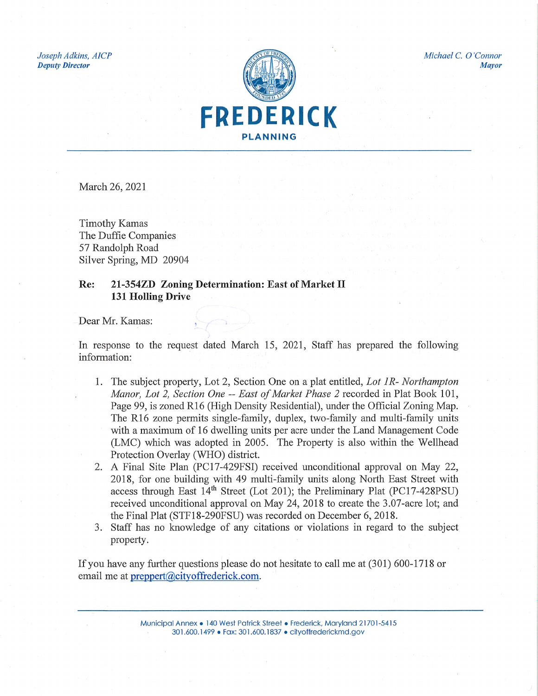Joseph Adkins, AICP **Deputy Director** 



Michael C. O'Connor

**Mayor** 

March 26, 2021

**Timothy Kamas** The Duffie Companies 57 Randolph Road Silver Spring, MD 20904

## 21-354ZD Zoning Determination: East of Market II Re: 131 Holling Drive

Dear Mr. Kamas:

In response to the request dated March 15, 2021, Staff has prepared the following information:

- 1. The subject property, Lot 2, Section One on a plat entitled, Lot 1R- Northampton Manor, Lot 2, Section One -- East of Market Phase 2 recorded in Plat Book 101, Page 99, is zoned R16 (High Density Residential), under the Official Zoning Map. The R16 zone permits single-family, duplex, two-family and multi-family units with a maximum of 16 dwelling units per acre under the Land Management Code (LMC) which was adopted in 2005. The Property is also within the Wellhead Protection Overlay (WHO) district.
- 2. A Final Site Plan (PC17-429FSI) received unconditional approval on May 22, 2018, for one building with 49 multi-family units along North East Street with access through East 14<sup>th</sup> Street (Lot 201); the Preliminary Plat (PC17-428PSU) received unconditional approval on May 24, 2018 to create the 3.07-acre lot; and the Final Plat (STF18-290FSU) was recorded on December 6, 2018.
- 3. Staff has no knowledge of any citations or violations in regard to the subject property.

If you have any further questions please do not hesitate to call me at (301) 600-1718 or email me at preppert@cityoffrederick.com.

> Municipal Annex • 140 West Patrick Street • Frederick, Maryland 21701-5415 301.600.1499 · Fax: 301.600.1837 · cityoffrederickmd.gov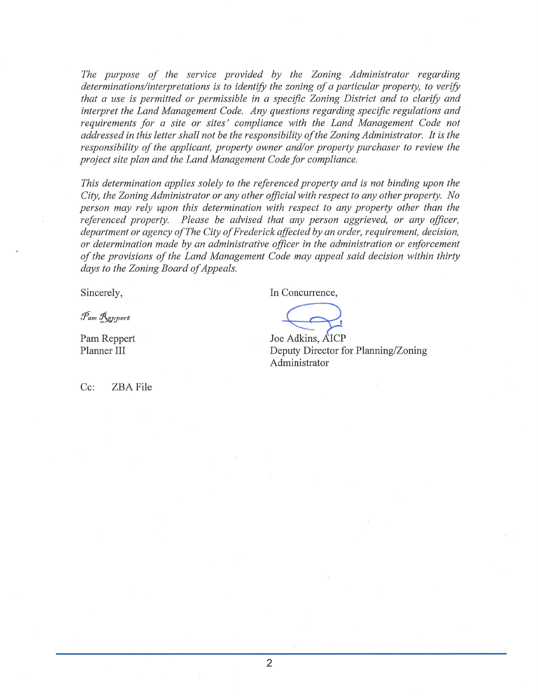The purpose of the service provided by the Zoning Administrator regarding determinations/interpretations is to identify the zoning of a particular property, to verify that a use is permitted or permissible in a specific Zoning District and to clarify and interpret the Land Management Code. Any questions regarding specific regulations and requirements for a site or sites' compliance with the Land Management Code not addressed in this letter shall not be the responsibility of the Zoning Administrator. It is the responsibility of the applicant, property owner and/or property purchaser to review the project site plan and the Land Management Code for compliance.

This determination applies solely to the referenced property and is not binding upon the City, the Zoning Administrator or any other official with respect to any other property. No person may rely upon this determination with respect to any property other than the referenced property. Please be advised that any person aggrieved, or any officer, department or agency of The City of Frederick affected by an order, requirement, decision, or determination made by an administrative officer in the administration or enforcement of the provisions of the Land Management Code may appeal said decision within thirty days to the Zoning Board of Appeals.

Sincerely,

Pam Reppert

Pam Reppert Planner III

In Concurrence,

Joe Adkins, AICP Deputy Director for Planning/Zoning Administrator

 $Cc:$ ZBA File